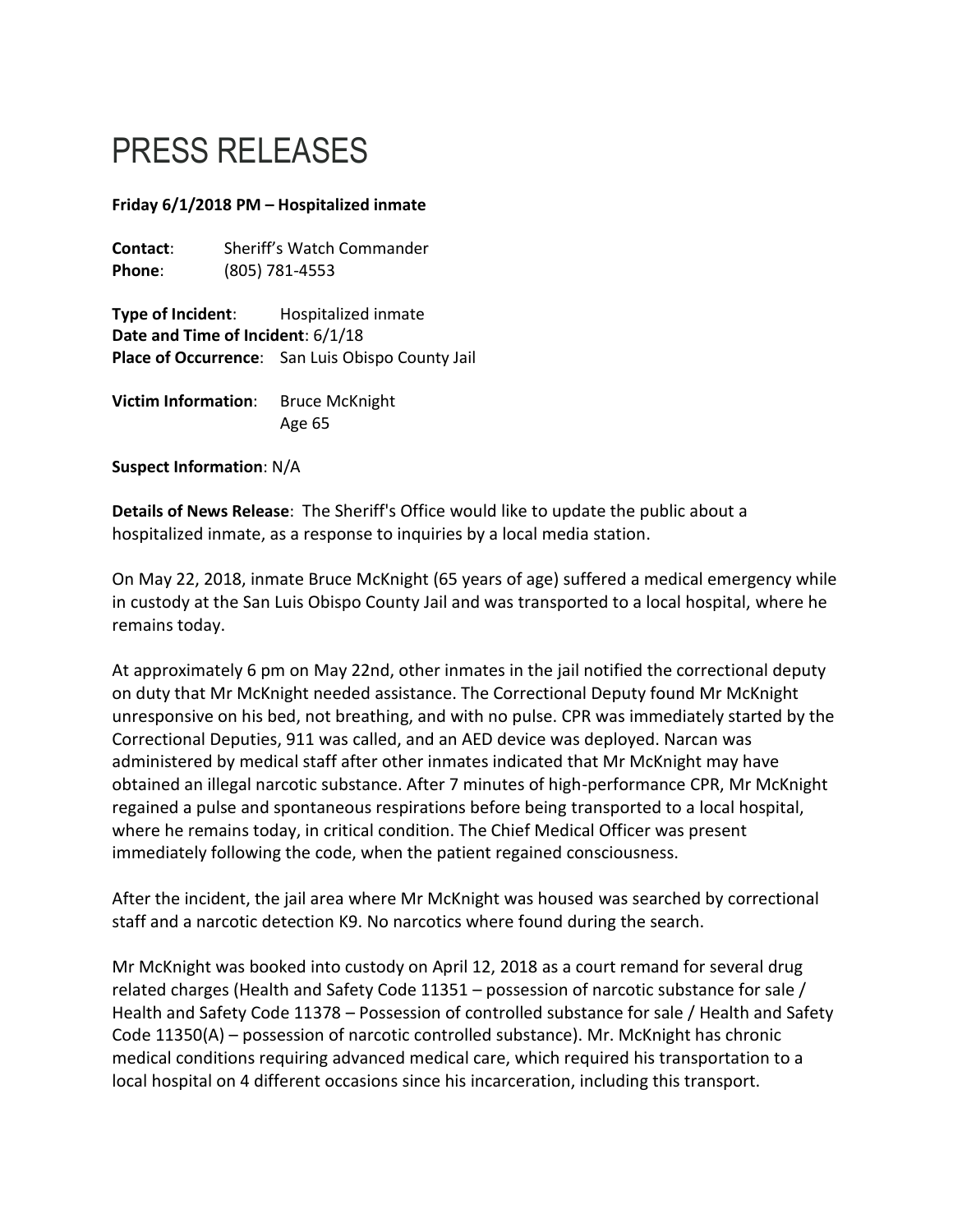## PRESS RELEASES

## **Friday 6/1/2018 PM – Hospitalized inmate**

**Contact**: Sheriff's Watch Commander **Phone**: (805) 781-4553

**Type of Incident**: Hospitalized inmate **Date and Time of Incident**: 6/1/18 **Place of Occurrence**: San Luis Obispo County Jail

**Victim Information**: Bruce McKnight Age 65

**Suspect Information**: N/A

**Details of News Release**: The Sheriff's Office would like to update the public about a hospitalized inmate, as a response to inquiries by a local media station.

On May 22, 2018, inmate Bruce McKnight (65 years of age) suffered a medical emergency while in custody at the San Luis Obispo County Jail and was transported to a local hospital, where he remains today.

At approximately 6 pm on May 22nd, other inmates in the jail notified the correctional deputy on duty that Mr McKnight needed assistance. The Correctional Deputy found Mr McKnight unresponsive on his bed, not breathing, and with no pulse. CPR was immediately started by the Correctional Deputies, 911 was called, and an AED device was deployed. Narcan was administered by medical staff after other inmates indicated that Mr McKnight may have obtained an illegal narcotic substance. After 7 minutes of high-performance CPR, Mr McKnight regained a pulse and spontaneous respirations before being transported to a local hospital, where he remains today, in critical condition. The Chief Medical Officer was present immediately following the code, when the patient regained consciousness.

After the incident, the jail area where Mr McKnight was housed was searched by correctional staff and a narcotic detection K9. No narcotics where found during the search.

Mr McKnight was booked into custody on April 12, 2018 as a court remand for several drug related charges (Health and Safety Code 11351 – possession of narcotic substance for sale / Health and Safety Code 11378 – Possession of controlled substance for sale / Health and Safety Code 11350(A) – possession of narcotic controlled substance). Mr. McKnight has chronic medical conditions requiring advanced medical care, which required his transportation to a local hospital on 4 different occasions since his incarceration, including this transport.